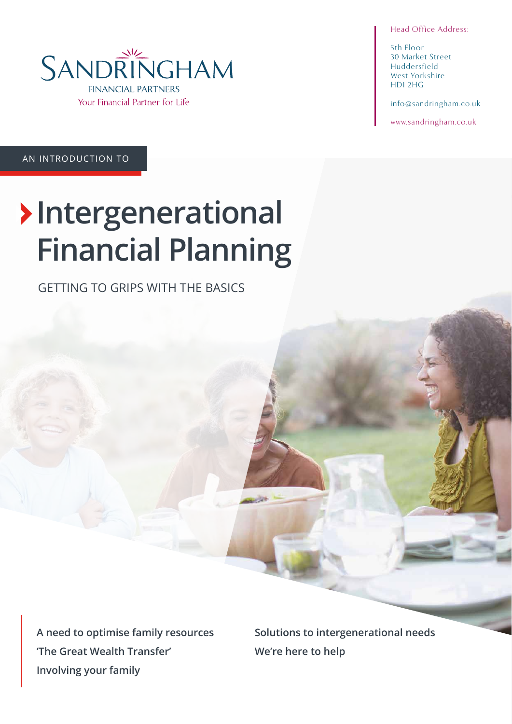Head Office Address:

5th Floor 30 Market Street Huddersfield West Yorkshire HD1 2HG

info@sandringham.co.uk

www.sandringham.co.uk

AN INTRODUCTION TO

# **Intergenerational Financial Planning**

GETTING TO GRIPS WITH THE BASICS

**A need to optimise family resources 'The Great Wealth Transfer' Involving your family**

**Solutions to intergenerational needs We're here to help**

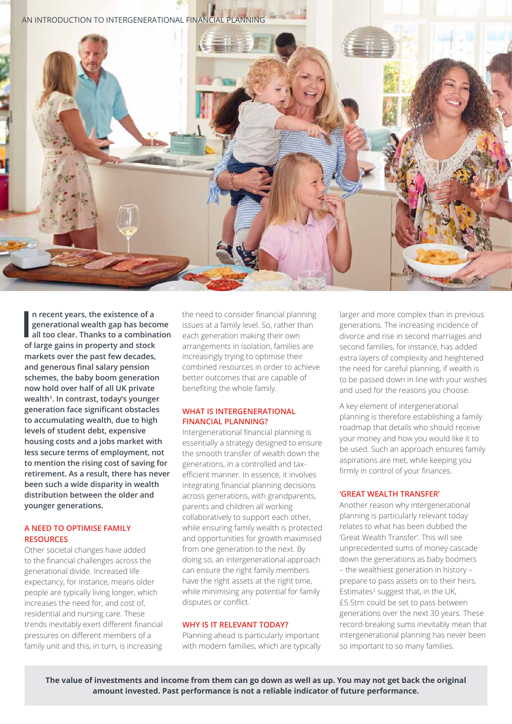

In recent years, the existence of a<br>generational wealth gap has beco<br>all too clear. Thanks to a combina<br>of large gains in property and stock **n recent years, the existence of a generational wealth gap has become all too clear. Thanks to a combination markets over the past few decades, and generous final salary pension schemes, the baby boom generation now hold over half of all UK private wealth1 . In contrast, today's younger generation face significant obstacles to accumulating wealth, due to high levels of student debt, expensive housing costs and a jobs market with less secure terms of employment, not to mention the rising cost of saving for retirement. As a result, there has never been such a wide disparity in wealth distribution between the older and younger generations.** 

# **A NEED TO OPTIMISE FAMILY RESOURCES**

Other societal changes have added to the financial challenges across the generational divide. Increased life expectancy, for instance, means older people are typically living longer, which increases the need for, and cost of, residential and nursing care. These trends inevitably exert different financial pressures on different members of a family unit and this, in turn, is increasing

the need to consider financial planning issues at a family level. So, rather than each generation making their own arrangements in isolation, families are increasingly trying to optimise their combined resources in order to achieve better outcomes that are capable of benefiting the whole family.

# **WHAT IS INTERGENERATIONAL FINANCIAL PLANNING?**

Intergenerational financial planning is essentially a strategy designed to ensure the smooth transfer of wealth down the generations, in a controlled and taxefficient manner. In essence, it involves integrating financial planning decisions across generations, with grandparents, parents and children all working collaboratively to support each other, while ensuring family wealth is protected and opportunities for growth maximised from one generation to the next. By doing so, an intergenerational approach can ensure the right family members have the right assets at the right time, while minimising any potential for family disputes or conflict.

# **WHY IS IT RELEVANT TODAY?**

Planning ahead is particularly important with modern families, which are typically larger and more complex than in previous generations. The increasing incidence of divorce and rise in second marriages and second families, for instance, has added extra layers of complexity and heightened the need for careful planning, if wealth is to be passed down in line with your wishes and used for the reasons you choose.

A key element of intergenerational planning is therefore establishing a family roadmap that details who should receive your money and how you would like it to be used. Such an approach ensures family aspirations are met, while keeping you firmly in control of your finances.

### **'GREAT WEALTH TRANSFER'**

Another reason why intergenerational planning is particularly relevant today relates to what has been dubbed the 'Great Wealth Transfer'. This will see unprecedented sums of money cascade down the generations as baby boomers – the wealthiest generation in history – prepare to pass assets on to their heirs. Estimates<sup>2</sup> suggest that, in the UK, £5.5trn could be set to pass between generations over the next 30 years. These record-breaking sums inevitably mean that intergenerational planning has never been so important to so many families.

**The value of investments and income from them can go down as well as up. You may not get back the original amount invested. Past performance is not a reliable indicator of future performance.**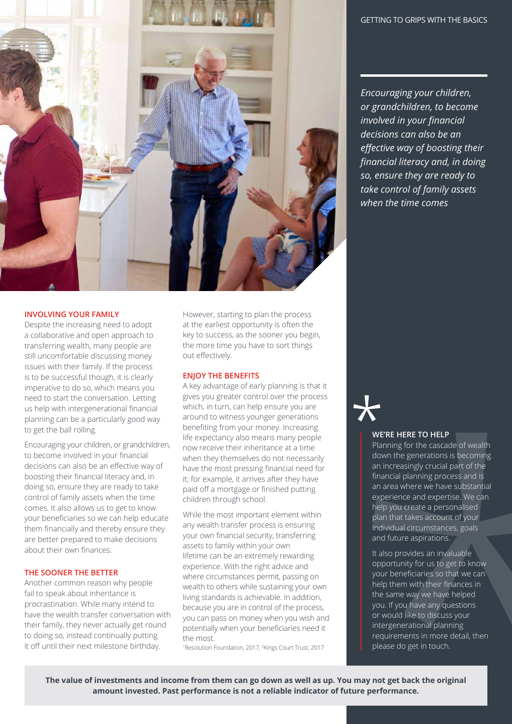

#### **INVOLVING YOUR FAMILY**

Despite the increasing need to adopt a collaborative and open approach to transferring wealth, many people are still uncomfortable discussing money issues with their family. If the process is to be successful though, it is clearly imperative to do so, which means you need to start the conversation. Letting us help with intergenerational financial planning can be a particularly good way to get the ball rolling.

Encouraging your children, or grandchildren, to become involved in your financial decisions can also be an effective way of boosting their financial literacy and, in doing so, ensure they are ready to take control of family assets when the time comes. It also allows us to get to know your beneficiaries so we can help educate them financially and thereby ensure they are better prepared to make decisions about their own finances.

# **THE SOONER THE BETTER**

Another common reason why people fail to speak about inheritance is procrastination. While many intend to have the wealth transfer conversation with their family, they never actually get round to doing so, instead continually putting it off until their next milestone birthday.

However, starting to plan the process at the earliest opportunity is often the key to success, as the sooner you begin, the more time you have to sort things out effectively.

#### **ENJOY THE BENEFITS**

A key advantage of early planning is that it gives you greater control over the process which, in turn, can help ensure you are around to witness younger generations benefiting from your money. Increasing life expectancy also means many people now receive their inheritance at a time when they themselves do not necessarily have the most pressing financial need for it; for example, it arrives after they have paid off a mortgage or finished putting children through school.

While the most important element within any wealth transfer process is ensuring your own financial security, transferring assets to family within your own lifetime can be an extremely rewarding experience. With the right advice and where circumstances permit, passing on wealth to others while sustaining your own living standards is achievable. In addition, because you are in control of the process, you can pass on money when you wish and potentially when your beneficiaries need it the most.

1 Resolution Foundation, 2017, 2 Kings Court Trust, 2017

*Encouraging your children, or grandchildren, to become involved in your financial decisions can also be an effective way of boosting their financial literacy and, in doing so, ensure they are ready to take control of family assets when the time comes*

#### **WE'RE HERE TO HELP**

Planning for the cascade of wealth down the generations is becoming an increasingly crucial part of the financial planning process and is an area where we have substantial experience and expertise. We can help you create a personalised plan that takes account of your individual circumstances, goals and future aspirations.

It also provides an invaluable opportunity for us to get to know your beneficiaries so that we can help them with their finances in the same way we have helped you. If you have any questions or would like to discuss your intergenerational planning requirements in more detail, then please do get in touch.

**The value of investments and income from them can go down as well as up. You may not get back the original amount invested. Past performance is not a reliable indicator of future performance.**